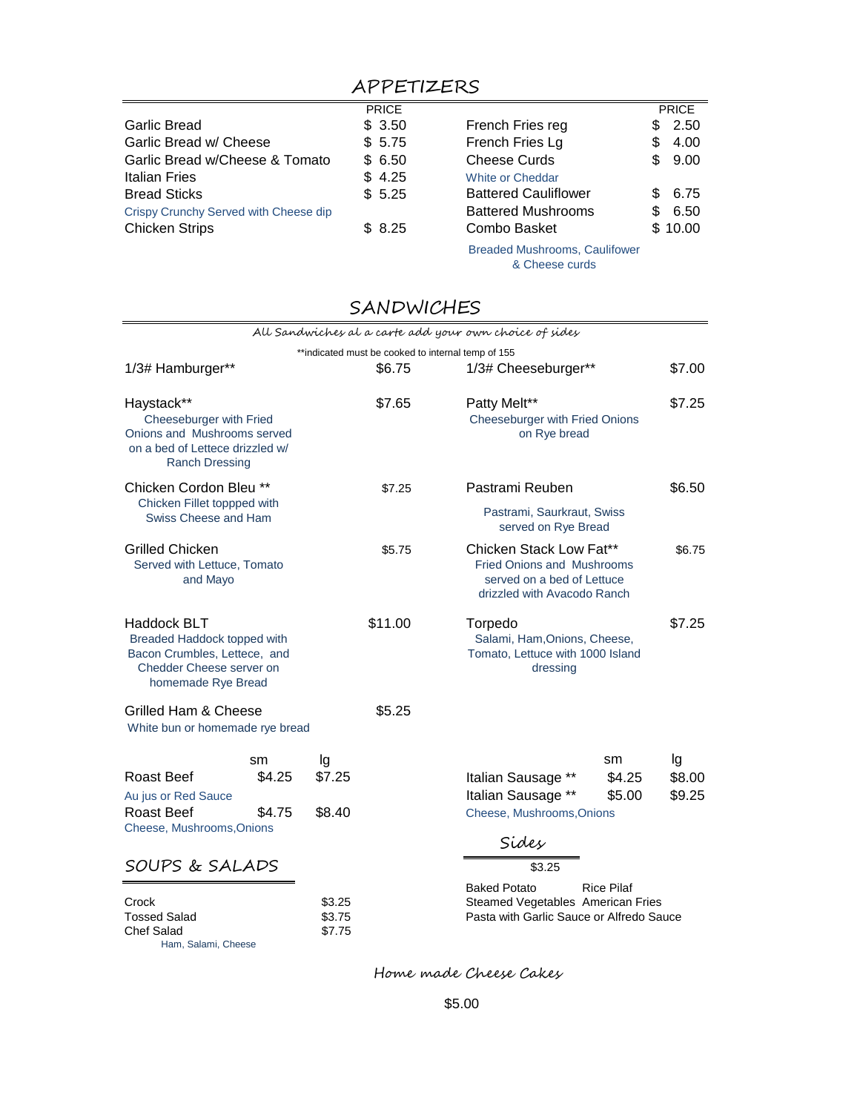## APPETIZERS

|                                       | <b>PRICE</b> |                                      |    | <b>PRICE</b> |
|---------------------------------------|--------------|--------------------------------------|----|--------------|
| <b>Garlic Bread</b>                   | \$3.50       | French Fries reg                     |    | \$2.50       |
| Garlic Bread w/ Cheese                | \$5.75       | French Fries Lg                      |    | 4.00         |
| Garlic Bread w/Cheese & Tomato        | \$6.50       | <b>Cheese Curds</b>                  |    | \$9.00       |
| Italian Fries                         | \$4.25       | <b>White or Cheddar</b>              |    |              |
| <b>Bread Sticks</b>                   | \$5.25       | <b>Battered Cauliflower</b>          |    | \$6.75       |
| Crispy Crunchy Served with Cheese dip |              | <b>Battered Mushrooms</b>            | S. | 6.50         |
| <b>Chicken Strips</b>                 | \$8.25       | Combo Basket                         |    | \$10.00      |
|                                       |              | <b>Breaded Mushrooms, Caulifower</b> |    |              |

& Cheese curds

## SANDWICHES

|                                                                                                                                     |                        |                            |                                                    | All Sandwiches al a carte add your own choice of sides                                                                    |                        |                        |
|-------------------------------------------------------------------------------------------------------------------------------------|------------------------|----------------------------|----------------------------------------------------|---------------------------------------------------------------------------------------------------------------------------|------------------------|------------------------|
|                                                                                                                                     |                        |                            | **indicated must be cooked to internal temp of 155 |                                                                                                                           |                        |                        |
| 1/3# Hamburger**                                                                                                                    |                        |                            | \$6.75                                             | 1/3# Cheeseburger**                                                                                                       |                        | \$7.00                 |
| Haystack**<br>Cheeseburger with Fried<br>Onions and Mushrooms served<br>on a bed of Lettece drizzled w/<br><b>Ranch Dressing</b>    |                        |                            | \$7.65                                             | Patty Melt**<br>Cheeseburger with Fried Onions<br>on Rye bread                                                            |                        | \$7.25                 |
| Chicken Cordon Bleu **                                                                                                              |                        |                            | \$7.25                                             | Pastrami Reuben                                                                                                           |                        | \$6.50                 |
| Chicken Fillet toppped with<br>Swiss Cheese and Ham                                                                                 |                        |                            |                                                    | Pastrami, Saurkraut, Swiss<br>served on Rye Bread                                                                         |                        |                        |
| <b>Grilled Chicken</b><br>Served with Lettuce, Tomato<br>and Mayo                                                                   |                        |                            | \$5.75                                             | Chicken Stack Low Fat**<br><b>Fried Onions and Mushrooms</b><br>served on a bed of Lettuce<br>drizzled with Avacodo Ranch |                        | \$6.75                 |
| <b>Haddock BLT</b><br>Breaded Haddock topped with<br>Bacon Crumbles, Lettece, and<br>Chedder Cheese server on<br>homemade Rye Bread |                        |                            | \$11.00                                            | Torpedo<br>Salami, Ham, Onions, Cheese,<br>Tomato, Lettuce with 1000 Island<br>dressing                                   |                        | \$7.25                 |
| Grilled Ham & Cheese                                                                                                                |                        |                            | \$5.25                                             |                                                                                                                           |                        |                        |
| White bun or homemade rye bread                                                                                                     |                        |                            |                                                    |                                                                                                                           |                        |                        |
| Roast Beef<br>Au jus or Red Sauce<br>Roast Beef                                                                                     | sm<br>\$4.25<br>\$4.75 | lg<br>\$7.25<br>\$8.40     |                                                    | Italian Sausage **<br>Italian Sausage **<br>Cheese, Mushrooms, Onions                                                     | sm<br>\$4.25<br>\$5.00 | lg<br>\$8.00<br>\$9.25 |
| Cheese, Mushrooms, Onions                                                                                                           |                        |                            |                                                    | Sides                                                                                                                     |                        |                        |
| SOUPS & SALADS                                                                                                                      |                        |                            |                                                    | \$3.25                                                                                                                    |                        |                        |
| Crock<br><b>Tossed Salad</b><br><b>Chef Salad</b><br>Ham, Salami, Cheese                                                            |                        | \$3.25<br>\$3.75<br>\$7.75 |                                                    | <b>Baked Potato</b><br>Steamed Vegetables American Fries<br>Pasta with Garlic Sauce or Alfredo Sauce                      | <b>Rice Pilaf</b>      |                        |

Home made Cheese Cakes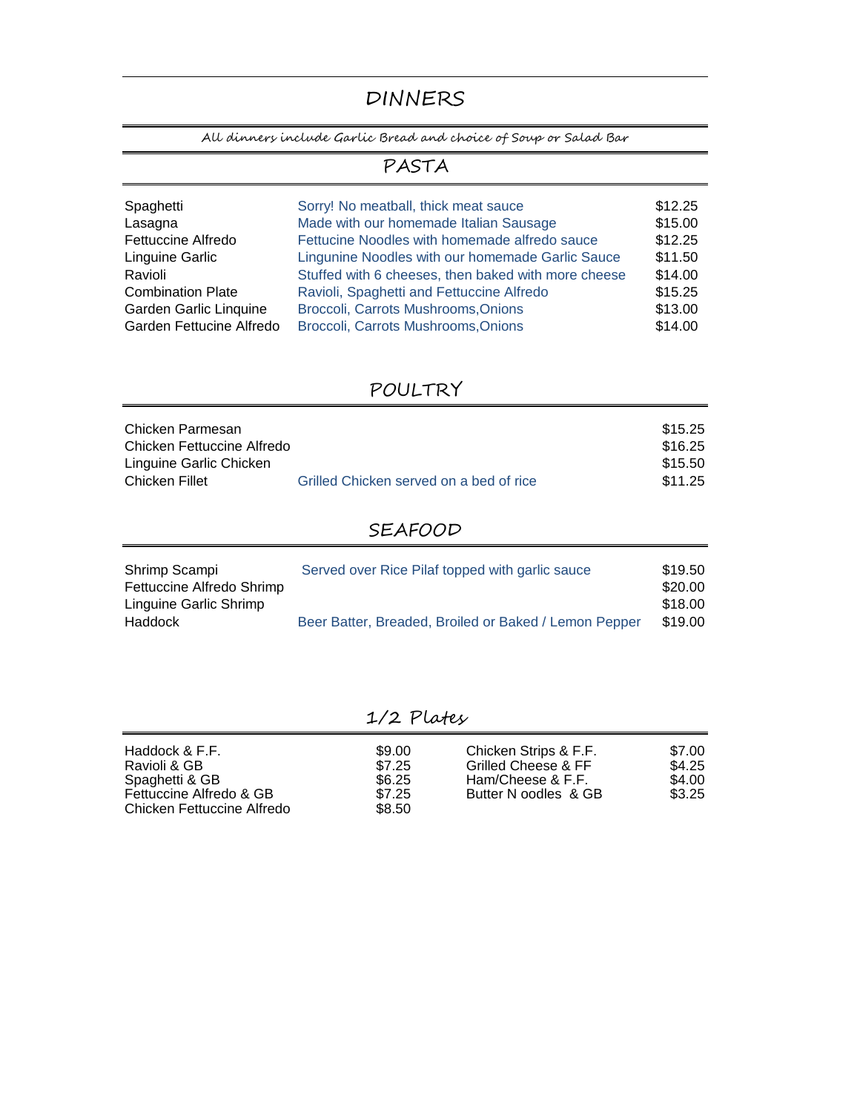# DINNERS

All dinners include Garlic Bread and choice of Soup or Salad Bar

### PASTA

| Spaghetti                | Sorry! No meatball, thick meat sauce                | \$12.25 |
|--------------------------|-----------------------------------------------------|---------|
| Lasagna                  | Made with our homemade Italian Sausage              | \$15.00 |
| Fettuccine Alfredo       | Fettucine Noodles with homemade alfredo sauce       | \$12.25 |
| Linguine Garlic          | Lingunine Noodles with our homemade Garlic Sauce    | \$11.50 |
| Ravioli                  | Stuffed with 6 cheeses, then baked with more cheese | \$14.00 |
| <b>Combination Plate</b> | Ravioli, Spaghetti and Fettuccine Alfredo           | \$15.25 |
| Garden Garlic Linquine   | Broccoli, Carrots Mushrooms, Onions                 | \$13.00 |
| Garden Fettucine Alfredo | Broccoli, Carrots Mushrooms, Onions                 | \$14.00 |

### POULTRY

| Chicken Parmesan           |                                         | \$15.25 |
|----------------------------|-----------------------------------------|---------|
| Chicken Fettuccine Alfredo |                                         | \$16.25 |
| Linguine Garlic Chicken    |                                         | \$15.50 |
| Chicken Fillet             | Grilled Chicken served on a bed of rice | \$11.25 |

### SEAFOOD

| Shrimp Scampi             | Served over Rice Pilaf topped with garlic sauce       | \$19.50 |
|---------------------------|-------------------------------------------------------|---------|
| Fettuccine Alfredo Shrimp |                                                       | \$20.00 |
| Linguine Garlic Shrimp    |                                                       | \$18.00 |
| <b>Haddock</b>            | Beer Batter, Breaded, Broiled or Baked / Lemon Pepper | \$19.00 |

### 1/2 Plates

 $$7.25$ <br> $$8.50$ 

Chicken Fettuccine Alfredo Fettuccine Alfredo & GB Haddock & F.F. Ravioli & GB Spaghetti & GB

#### \$9.00 Chicken Strips & F.F. \$7.00 \$7.25 Grilled Cheese & FF \$4.25 \$9.00 Chicken Strips & F.F. \$7.00<br>\$7.25 Grilled Cheese & F.F. \$4.25<br>\$6.25 Ham/Cheese & F.F. \$4.00<br>\$7.25 Butter N oodles & GB \$3.25 Butter N oodles & GB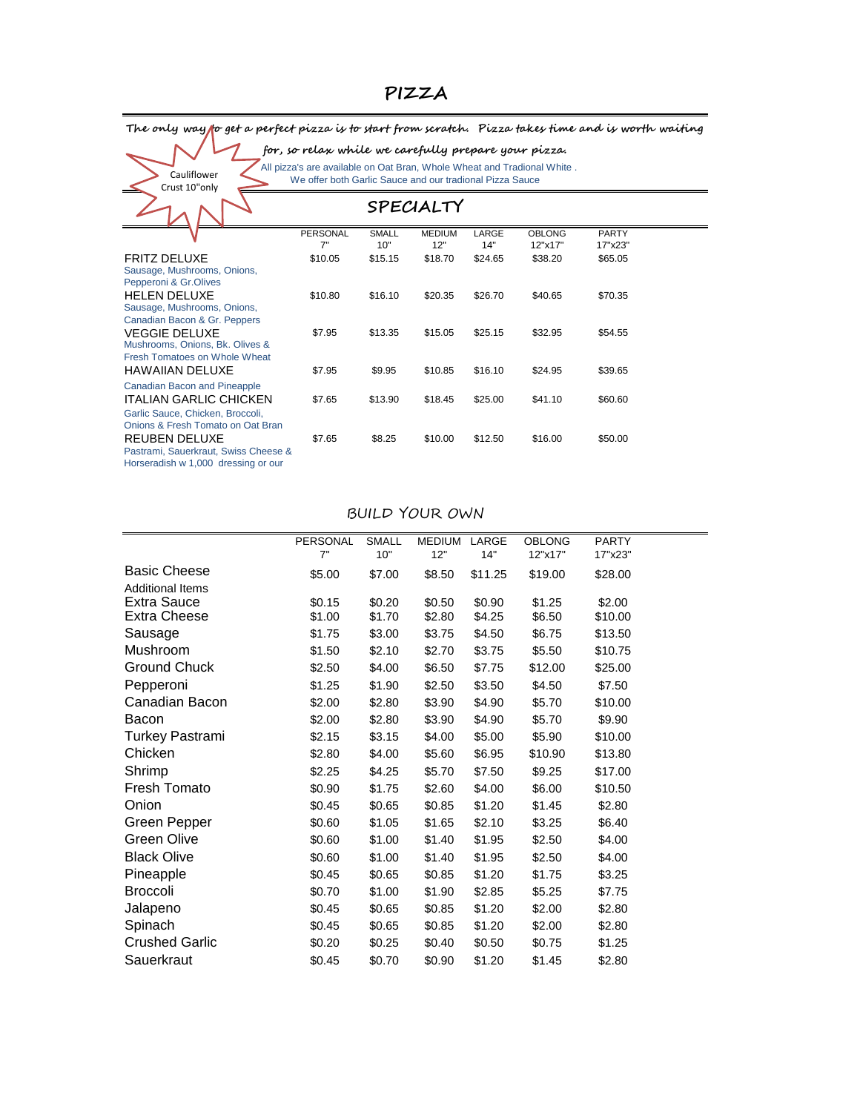## **PIZZA**

#### The only way **t**o get a perfect pizza is to start from scratch. Pizza takes time and is worth waiting

#### **for, so relax while we carefully prepare your pizza.**

Cauliflower Crust 10"only  All pizza's are available on Oat Bran, Whole Wheat and Tradional White . We offer both Garlic Sauce and our tradional Pizza Sauce

|                                      |                 |              | SPECIALTY     |         |               |              |  |
|--------------------------------------|-----------------|--------------|---------------|---------|---------------|--------------|--|
|                                      | <b>PERSONAL</b> | <b>SMALL</b> | <b>MEDIUM</b> | LARGE   | <b>OBLONG</b> | <b>PARTY</b> |  |
|                                      | 7"              | 10"          | 12"           | 14"     | 12"x17"       | 17"x23"      |  |
| <b>FRITZ DELUXE</b>                  | \$10.05         | \$15.15      | \$18.70       | \$24.65 | \$38.20       | \$65.05      |  |
| Sausage, Mushrooms, Onions,          |                 |              |               |         |               |              |  |
| Pepperoni & Gr.Olives                |                 |              |               |         |               |              |  |
| <b>HELEN DELUXE</b>                  | \$10.80         | \$16.10      | \$20.35       | \$26.70 | \$40.65       | \$70.35      |  |
| Sausage, Mushrooms, Onions,          |                 |              |               |         |               |              |  |
| Canadian Bacon & Gr. Peppers         |                 |              |               |         |               |              |  |
| <b>VEGGIE DELUXE</b>                 | \$7.95          | \$13.35      | \$15.05       | \$25.15 | \$32.95       | \$54.55      |  |
| Mushrooms, Onions, Bk. Olives &      |                 |              |               |         |               |              |  |
| Fresh Tomatoes on Whole Wheat        |                 |              |               |         |               |              |  |
| <b>HAWAIIAN DELUXE</b>               | \$7.95          | \$9.95       | \$10.85       | \$16.10 | \$24.95       | \$39.65      |  |
| <b>Canadian Bacon and Pineapple</b>  |                 |              |               |         |               |              |  |
| <b>ITALIAN GARLIC CHICKEN</b>        | \$7.65          | \$13.90      | \$18.45       | \$25.00 | \$41.10       | \$60.60      |  |
| Garlic Sauce, Chicken, Broccoli,     |                 |              |               |         |               |              |  |
| Onions & Fresh Tomato on Oat Bran    |                 |              |               |         |               |              |  |
| <b>REUBEN DELUXE</b>                 | \$7.65          | \$8.25       | \$10.00       | \$12.50 | \$16.00       | \$50.00      |  |
| Pastrami, Sauerkraut, Swiss Cheese & |                 |              |               |         |               |              |  |
| Horseradish w 1,000 dressing or our  |                 |              |               |         |               |              |  |

#### BUILD YOUR OWN

|                         | <b>PERSONAL</b> | <b>SMALL</b> | <b>MEDIUM</b> | LARGE   | <b>OBLONG</b> | <b>PARTY</b> |
|-------------------------|-----------------|--------------|---------------|---------|---------------|--------------|
|                         | 7"              | 10"          | 12"           | 14"     | 12"x17"       | 17"x23"      |
| <b>Basic Cheese</b>     | \$5.00          | \$7.00       | \$8.50        | \$11.25 | \$19.00       | \$28.00      |
| <b>Additional Items</b> |                 |              |               |         |               |              |
| Extra Sauce             | \$0.15          | \$0.20       | \$0.50        | \$0.90  | \$1.25        | \$2.00       |
| <b>Extra Cheese</b>     | \$1.00          | \$1.70       | \$2.80        | \$4.25  | \$6.50        | \$10.00      |
| Sausage                 | \$1.75          | \$3.00       | \$3.75        | \$4.50  | \$6.75        | \$13.50      |
| Mushroom                | \$1.50          | \$2.10       | \$2.70        | \$3.75  | \$5.50        | \$10.75      |
| <b>Ground Chuck</b>     | \$2.50          | \$4.00       | \$6.50        | \$7.75  | \$12.00       | \$25.00      |
| Pepperoni               | \$1.25          | \$1.90       | \$2.50        | \$3.50  | \$4.50        | \$7.50       |
| Canadian Bacon          | \$2.00          | \$2.80       | \$3.90        | \$4.90  | \$5.70        | \$10.00      |
| Bacon                   | \$2.00          | \$2.80       | \$3.90        | \$4.90  | \$5.70        | \$9.90       |
| <b>Turkey Pastrami</b>  | \$2.15          | \$3.15       | \$4.00        | \$5.00  | \$5.90        | \$10.00      |
| Chicken                 | \$2.80          | \$4.00       | \$5.60        | \$6.95  | \$10.90       | \$13.80      |
| Shrimp                  | \$2.25          | \$4.25       | \$5.70        | \$7.50  | \$9.25        | \$17.00      |
| Fresh Tomato            | \$0.90          | \$1.75       | \$2.60        | \$4.00  | \$6.00        | \$10.50      |
| Onion                   | \$0.45          | \$0.65       | \$0.85        | \$1.20  | \$1.45        | \$2.80       |
| Green Pepper            | \$0.60          | \$1.05       | \$1.65        | \$2.10  | \$3.25        | \$6.40       |
| Green Olive             | \$0.60          | \$1.00       | \$1.40        | \$1.95  | \$2.50        | \$4.00       |
| <b>Black Olive</b>      | \$0.60          | \$1.00       | \$1.40        | \$1.95  | \$2.50        | \$4.00       |
| Pineapple               | \$0.45          | \$0.65       | \$0.85        | \$1.20  | \$1.75        | \$3.25       |
| <b>Broccoli</b>         | \$0.70          | \$1.00       | \$1.90        | \$2.85  | \$5.25        | \$7.75       |
| Jalapeno                | \$0.45          | \$0.65       | \$0.85        | \$1.20  | \$2.00        | \$2.80       |
| Spinach                 | \$0.45          | \$0.65       | \$0.85        | \$1.20  | \$2.00        | \$2.80       |
| <b>Crushed Garlic</b>   | \$0.20          | \$0.25       | \$0.40        | \$0.50  | \$0.75        | \$1.25       |
| Sauerkraut              | \$0.45          | \$0.70       | \$0.90        | \$1.20  | \$1.45        | \$2.80       |